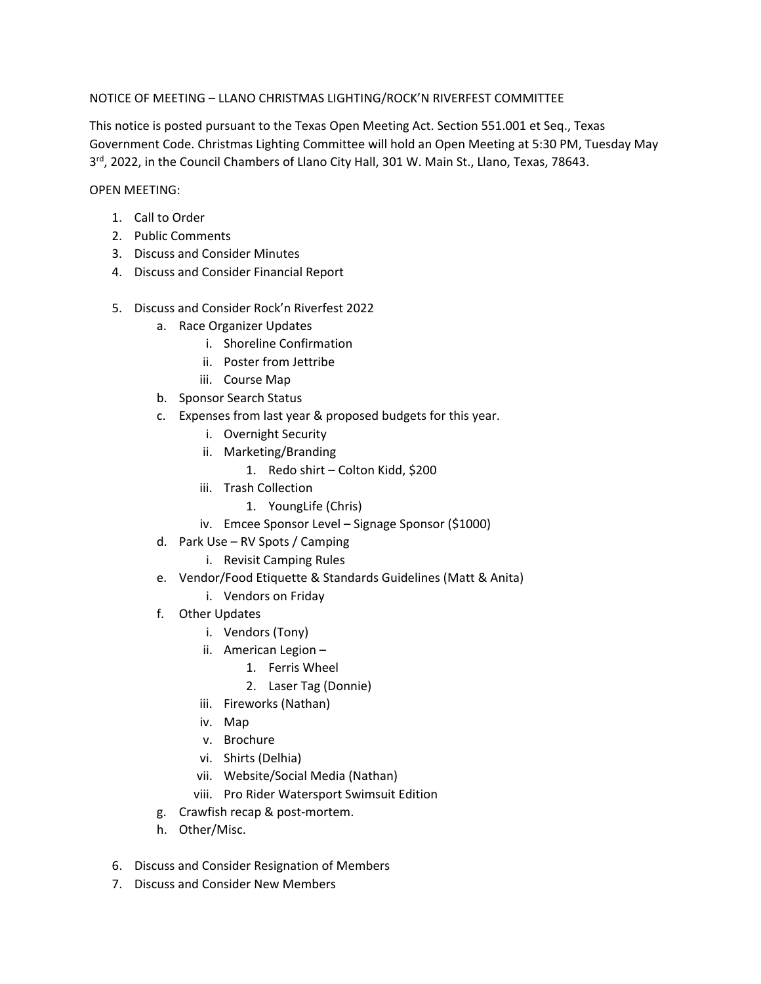## NOTICE OF MEETING – LLANO CHRISTMAS LIGHTING/ROCK'N RIVERFEST COMMITTEE

This notice is posted pursuant to the Texas Open Meeting Act. Section 551.001 et Seq., Texas Government Code. Christmas Lighting Committee will hold an Open Meeting at 5:30 PM, Tuesday May 3<sup>rd</sup>, 2022, in the Council Chambers of Llano City Hall, 301 W. Main St., Llano, Texas, 78643.

## OPEN MEETING:

- 1. Call to Order
- 2. Public Comments
- 3. Discuss and Consider Minutes
- 4. Discuss and Consider Financial Report
- 5. Discuss and Consider Rock'n Riverfest 2022
	- a. Race Organizer Updates
		- i. Shoreline Confirmation
		- ii. Poster from Jettribe
		- iii. Course Map
	- b. Sponsor Search Status
	- c. Expenses from last year & proposed budgets for this year.
		- i. Overnight Security
		- ii. Marketing/Branding
			- 1. Redo shirt Colton Kidd, \$200
		- iii. Trash Collection
			- 1. YoungLife (Chris)
		- iv. Emcee Sponsor Level Signage Sponsor (\$1000)
	- d. Park Use RV Spots / Camping
		- i. Revisit Camping Rules
	- e. Vendor/Food Etiquette & Standards Guidelines (Matt & Anita)
		- i. Vendors on Friday
	- f. Other Updates
		- i. Vendors (Tony)
		- ii. American Legion
			- 1. Ferris Wheel
			- 2. Laser Tag (Donnie)
		- iii. Fireworks (Nathan)
		- iv. Map
		- v. Brochure
		- vi. Shirts (Delhia)
		- vii. Website/Social Media (Nathan)
		- viii. Pro Rider Watersport Swimsuit Edition
	- g. Crawfish recap & post-mortem.
	- h. Other/Misc.
- 6. Discuss and Consider Resignation of Members
- 7. Discuss and Consider New Members